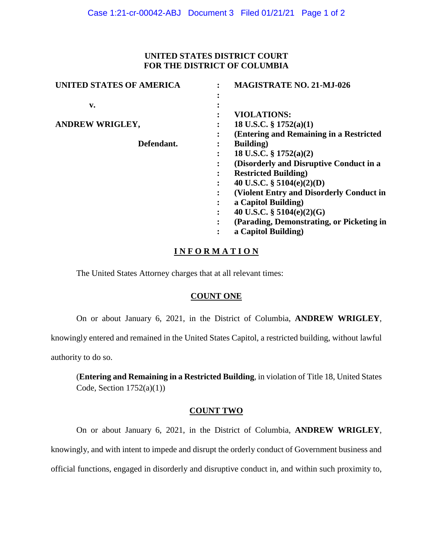#### **UNITED STATES DISTRICT COURT FOR THE DISTRICT OF COLUMBIA**

| UNITED STATES OF AMERICA |   | <b>MAGISTRATE NO. 21-MJ-026</b>           |
|--------------------------|---|-------------------------------------------|
|                          |   |                                           |
| v.                       |   |                                           |
|                          |   | <b>VIOLATIONS:</b>                        |
| <b>ANDREW WRIGLEY,</b>   |   | 18 U.S.C. $\S$ 1752(a)(1)                 |
|                          |   | (Entering and Remaining in a Restricted   |
| Defendant.               |   | <b>Building</b> )                         |
|                          |   | 18 U.S.C. $\S 1752(a)(2)$                 |
|                          |   | (Disorderly and Disruptive Conduct in a   |
|                          |   | <b>Restricted Building</b> )              |
|                          |   | 40 U.S.C. $\S$ 5104(e)(2)(D)              |
|                          |   | (Violent Entry and Disorderly Conduct in  |
|                          | ٠ | a Capitol Building)                       |
|                          |   | 40 U.S.C. § 5104(e)(2)(G)                 |
|                          |   | (Parading, Demonstrating, or Picketing in |
|                          |   | a Capitol Building)                       |
|                          |   |                                           |

### **I N F O R M A T I O N**

The United States Attorney charges that at all relevant times:

#### **COUNT ONE**

On or about January 6, 2021, in the District of Columbia, **ANDREW WRIGLEY**,

knowingly entered and remained in the United States Capitol, a restricted building, without lawful

authority to do so.

(**Entering and Remaining in a Restricted Building**, in violation of Title 18, United States Code, Section  $1752(a)(1)$ )

#### **COUNT TWO**

On or about January 6, 2021, in the District of Columbia, **ANDREW WRIGLEY**, knowingly, and with intent to impede and disrupt the orderly conduct of Government business and official functions, engaged in disorderly and disruptive conduct in, and within such proximity to,